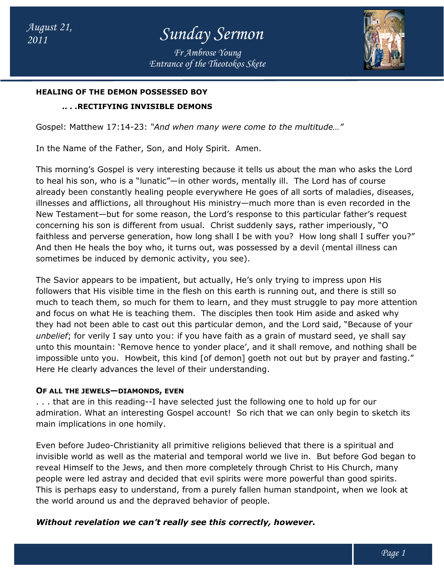*Entrance of the Theotokos Skete Fr Ambrose Young*



#### **HEALING OF THE DEMON POSSESSED BOY**

#### **.. . .RECTIFYING INVISIBLE DEMONS**

Gospel: Matthew 17:14-23: "And when many were come to the multitude..."

In the Name of the Father, Son, and Holy Spirit. Amen.

This morning's Gospel is very interesting because it tells us about the man who asks the Lord This morning's Gospel is very interesting because it tells us about the man who asks the Lord<br>to heal his son, who is a "lunatic"—in other words, mentally ill. The Lord has of course already been constantly healing people everywhere He goes of all sorts of maladies, diseases, illnesses and afflictions, all throughout His ministry—much more than is even recorded in the New Testament—but for some reason, the Lord's response to this particular father's request New Testament—but for some reason, the Lord's response to this particular father's reqi<br>concerning his son is different from usual. Christ suddenly says, rather imperiously, "O faithless and perverse generation, how long shall I be with you? How long shall I suffer you?" And then He heals the boy who, it turns out, was possessed by a devil (mental illness can sometimes be induced by demonic activity, you see). in other words, mentally ill. The Lord has of course<br>ople everywhere He goes of all sorts of maladies, dise<br>out His ministry—much more than is even recorded ii<br>on, the Lord's response to this particular father's requ<br>usual

The Savior appears to be impatient, but actually, He's only trying to impress upon His followers that His visible time in the flesh on this earth is running out, and there is still so faithless and perverse generation, how long shall I be with you? How long shall I suffer you?"<br>And then He heals the boy who, it turns out, was possessed by a devil (mental illness can<br>sometimes be induced by demonic activ and focus on what He is teaching them. The disciples then took Him aside and asked why they had not been able to cast out this particular demon, and the Lord said, "Because of your *unbelief*; for verily I say unto you: if you have faith as a grain of mustard seed, ye shall say unto this mountain: 'Remove hence to yonder place', and it shall remove, and nothing shall be impossible unto you. Howbeit, this kind [of demon] goeth not out but by prayer and fasting." Here He clearly advances the level of their understanding. and focus on what He is teaching them. The disciples then took Him aside and asked why<br>they had not been able to cast out this particular demon, and the Lord said, "Because of your<br>unbelief; for verily I say unto you: if y

### **OF ALL THE JEWELS—DIAMONDS, EVEN**

. . . that are in this reading--I have selected just the following one to hold up for our ... that are in this reading--I have selected just the following one to hold up for our<br>admiration. What an interesting Gospel account! So rich that we can only begin to sketch its main implications in one homily.

Even before Judeo-Christianity all primitive religions believed that there is a spiritual and invisible world as well as the material and temporal world we live in. But before God began to reveal Himself to the Jews, and then more completely through Christ to His Church, many people were led astray and decided that evil spirits were more powerful than good spirits. This is perhaps easy to understand, from a purely fallen human standpoint, when the world around us and the depraved behavior of people. en before Judeo-Christianity all primitive religions believed that there is a spiritual and isible world as well as the material and temporal world we live in. But before God began eal Himself to the Jews, and then more co n only begin to sketch its<br>nere is a spiritual and<br>. But before God began t<br>.t to His Church, many<br>erful than good spirits.<br>ndpoint, when we look at

## Without revelation we can't really see this correctly, however.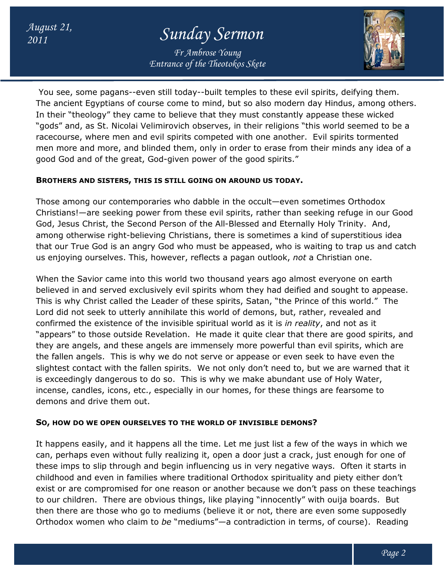# *<sup>2011</sup> Sunday Sermon*

*Entrance of the Theotokos Skete Fr Ambrose Young*



You see, some pagans--even still today--built temples to these evil spirits, deifying them. The ancient Egyptians of course come to mind, but so also modern day Hindus, among others. The ancient Egyptians of course come to mind, but so also modern day Hindus, among ot<br>In their "theology" they came to believe that they must constantly appease these wicked "gods" and, as St. Nicolai Velimirovich observes, in their religions "this world seemed to be a racecourse, where men and evil spirits competed with one another. Evil spirits tormented "gods" and, as St. Nicolai Velimirovich observes, in their religions "this world seemed to be a<br>racecourse, where men and evil spirits competed with one another. Evil spirits tormented<br>men more and more, and blinded them, good God and of the great, God-given power of the good spirits." built temples to these evil spirits, deifying them<br>mind, but so also modern day Hindus, among ot<br>hat they must constantly appease these wicked

### **BROTHERS AND SISTERS, THIS IS STILL GOING ON AROUND US TODAY.**

Those among our contemporaries who dabble in the occult—even sometimes Orthodox Christians!—are seeking power from these evil spirits, rather than seeking refuge in our Good Christians!—are seeking power from these evil spirits, rather than seeking refuge in our (<br>God, Jesus Christ, the Second Person of the All-Blessed and Eternally Holy Trinity. And, among otherwise right-believing Christians, there is sometimes a kind of superstitious idea among otherwise right-believing Christians, there is sometimes a kind of superstitious idea<br>that our True God is an angry God who must be appeased, who is waiting to trap us and catch us enjoying ourselves. This, however, reflects a pagan outlook, *not* a Christian one. From their minds any idea of<br>the good spirits."<br>**AROUND US TODAY.**<br>The occult—even sometimes Orthodox<br>spirits, rather than seeking refuge in our Good<br>Blessed and Eternally Holy Trinity. And,<br>re is sometimes a kind of super

When the Savior came into this world two thousand years ago almost e Savior everyone on earth believed in and served exclusively evil spirits whom they had deified and sought to appease. This is why Christ called the Leader of these spirits, Satan, "the Prince of this world." The Lord did not seek to utterly annihilate this world of demons, but, rather, revealed and confirmed the existence of the invisible spiritual world as it is *in reality*, and not as it "appears" to those outside Revelation. He made it quite clear that there are good spirits, and "appears" to those outside Revelation. He made it quite clear that there are good spirits, ar<br>they are angels, and these angels are immensely more powerful than evil spirits, which are the fallen angels. This is why we do not serve or appease or even seek to have even the slightest contact with the fallen spirits. We not only don't need to, but we are warned that it is exceedingly dangerous to do so. This is why we make abundant use of Holy Water, incense, candles, icons, etc., especially in our homes, for these things are fearsome to demons and drive them out. ved in and served exclusively evil spirits whom they had deified and sought to app<br>is why Christ called the Leader of these spirits, Satan, "the Prince of this world."<br>did not seek to utterly annihilate this world of demon angels. This is why we do not serve or appease or even seek to have even the<br>contact with the fallen spirits. We not only don't need to, but we are warned that it<br>ingly dangerous to do so. This is why we make abundant use a Christian one.<br>st everyone on ear<br>d and sought to app<br>ice of this world."<br>ther, revealed and

## **SO, HOW DO WE OPEN OURSELVES TO THE WORLD OF LVES OF INVISIBLE DEMONS?**

It happens easily, and it happens all the time. Let me just list a few of the ways in which we can, perhaps even without fully realizing it, open a door just a crack, just enough for one of It happens easily, and it happens all the time. Let me just list a few of the ways in which we<br>can, perhaps even without fully realizing it, open a door just a crack, just enough for one of<br>these imps to slip through and b childhood and even in families where traditional Orthodox spirituality and piety either don't exist or are compromised for one reason or another because we don't pass on these teachings to our children. There are obvious things, like playing "innocently" with ouija boards. But then there are those who go to mediums (believe it or not, there are even some supposedly then there are those who go to mediums (believe it or not, there are even some supposedly<br>Orthodox women who claim to *be* "mediums"—a contradiction in terms, of course). Reading childhood and even in families where traditional Orthodox spirituality and piety either don't<br>exist or are compromised for one reason or another because we don't pass on these teachin<br>to our children. There are obvious thi spiritual world as it is *in reality*, and not as<br>te made it quite clear that there are good s<br>innensely more powerful than evil spirits, w<br>serve or appease or even seek to have eve<br>We not only don't need to, but we are wa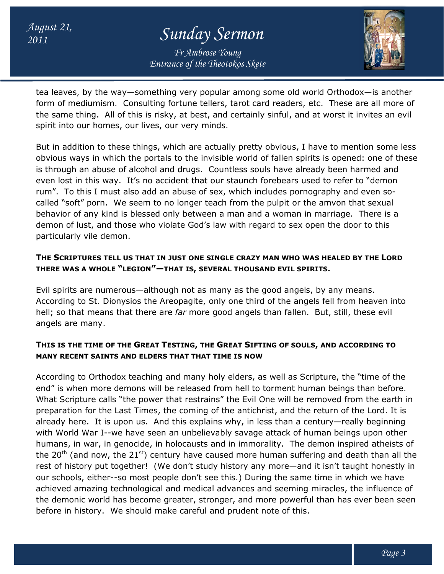# *<sup>2011</sup> Sunday Sermon*

*Entrance of the Theotokos Skete Fr Ambrose Young*



tea leaves, by the way—something very popular among some old world Orthodox—is another tea leaves, by the way—something very popular among some old world Orthodox—is another<br>form of mediumism. Consulting fortune tellers, tarot card readers, etc. These are all more of the same thing. All of this is risky, at best, and certainly sinful, and at worst it invites an evil spirit into our homes, our lives, our very minds.

But in addition to these things, which are actually pretty obvious, I have to mention some less obvious ways in which the portals to the invisible world of fallen spirits is opened: one of these is through an abuse of alcohol and drugs. Countless souls have already been harmed and even lost in this way. It's no accident that our staunch forebears used to refer to "demon rum". To this I must also add an abuse of sex, which includes pornography and even so called "soft" porn. We seem to no longer teach fr om behavior of any kind is blessed only between a man and a woman in marriage. There is a demon of lust, and those who violate God's law with regard to sex open the door to this particularly vile demon. e thing. All of this is risky, at best, and certainly sinful, and at worst it invites an e<br>o our homes, our lives, our very minds.<br>ddition to these things, which are actually pretty obvious, I have to mention some l<br>ways i in this way. It's no accident that our staunch forebears used to refer to "demor<br>this I must also add an abuse of sex, which includes pornography and even so-<br>ft" porn. We seem to no longer teach from the pulpit or the amv ve already been harmed and<br>ears used to refer to "demor<br>s pornography and even so-

### **T**HE SCRIPTURES TELL US THAT IN JUST ONE SINGLE CRAZY MAN WHO WAS HEALED BY THE LORD **THERE WAS A WHOLE "LEGION"—THAT IS , SEVERAL THOUSAND EVIL SPIRITS.**

Evil spirits are numerous—although not as many as the good angels, by any means. Evil spirits are numerous—although not as many as the good angels, by any means.<br>According to St. Dionysios the Areopagite, only one third of the angels fell from heaven into hell; so that means that there are *far* more good angels than fallen. But, still, these evil angels are many.

## **THIS IS THE TIME OF THE GREAT T ESTING, THE GREAT SIFTING OF SOULS, AND ACCORDING TO MANY RECENT SAINTS AND ELDERS THAT THAT TIME DERS THAT IS NOW**

According to Orthodox teaching and many holy elders, as well as Scripture, the "time of the According to Orthodox teaching and many holy elders, as well as Scripture, the "time of the<br>end" is when more demons will be released from hell to torment human beings than before. What Scripture calls "the power that restrains" the Evil One will be removed from the earth in preparation for the Last Times, the coming of the antichrist, and the return of the Lord. already here. It is upon us. And this explains why, in less than a century—really beginning with World War I--we have seen an unbelievably savage attack of human beings upon other humans, in war, in genocide, in holocausts and in immorality. The demon inspired atheists of the 20<sup>th</sup> (and now, the 21<sup>st</sup>) century have caused more human suffering and death than all the rest of history put together! (We don't study history any more—and it isn't taught honestly in our schools, either--so most people don't see this.) During the same time in which we have achieved amazing technological and medical advances and seeming miracles, the influence of the demonic world has become greater, stronger, and more powerful than has ever been seen before in history. We should make careful and prudent note of this. Scripture calls "the power that restrains" the Evil One will be removed freation for the Last Times, the coming of the antichrist, and the return of ly here. It is upon us. And this explains why, in less than a century—rea ved amazing technological and medical advances and seeming miracles, the influence of<br>emonic world has become greater, stronger, and more powerful than has ever been seen<br>e in history. We should make careful and prudent no ccording to St. Dionysios the Areopagite, only one third of the angels fell from heaven into<br>ell; so that means that there are *far* more good angels than fallen. But, still, these evil<br>ngels are many.<br>**HIS IS THE TIME OF** Lord. It is